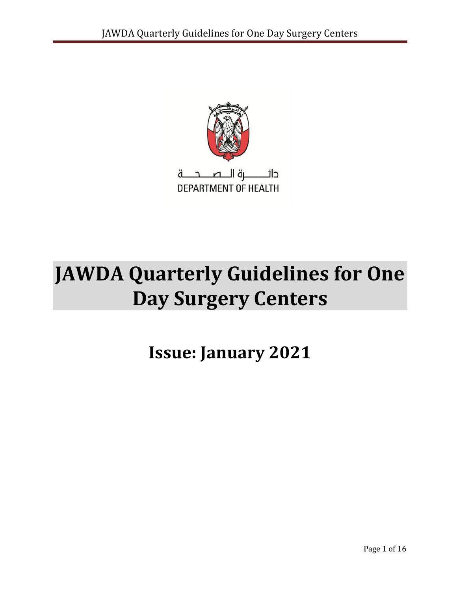

# **JAWDA Quarterly Guidelines for One Day Surgery Centers**

**Issue: January 2021**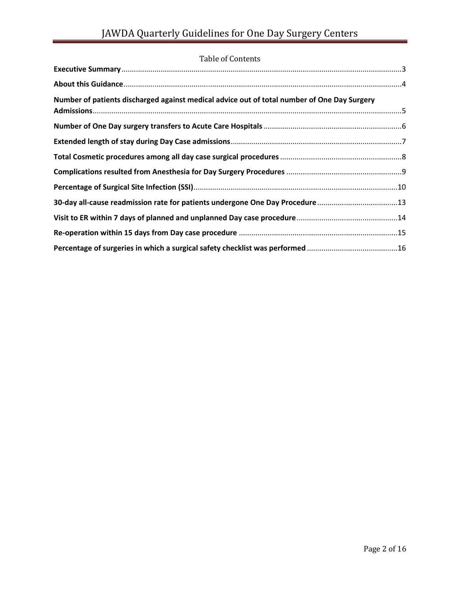| Table of Contents                                                                           |  |
|---------------------------------------------------------------------------------------------|--|
|                                                                                             |  |
|                                                                                             |  |
| Number of patients discharged against medical advice out of total number of One Day Surgery |  |
|                                                                                             |  |
|                                                                                             |  |
|                                                                                             |  |
|                                                                                             |  |
|                                                                                             |  |
|                                                                                             |  |
| 30-day all-cause readmission rate for patients undergone One Day Procedure 13               |  |
|                                                                                             |  |
|                                                                                             |  |
|                                                                                             |  |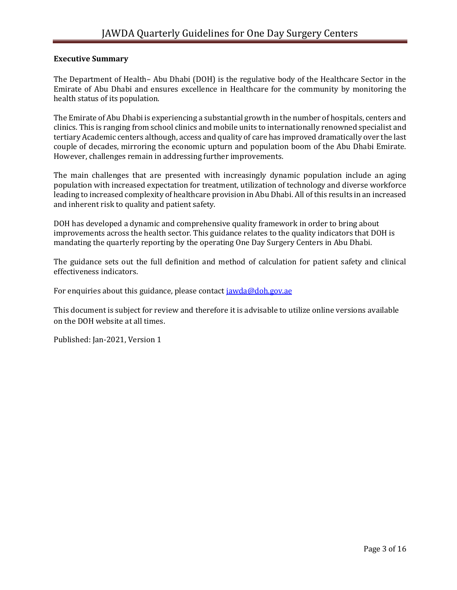### <span id="page-2-0"></span>**Executive Summary**

The Department of Health– Abu Dhabi (DOH) is the regulative body of the Healthcare Sector in the Emirate of Abu Dhabi and ensures excellence in Healthcare for the community by monitoring the health status of its population.

The Emirate of Abu Dhabi is experiencing a substantial growth in the number of hospitals, centers and clinics. This is ranging from school clinics and mobile units to internationally renowned specialist and tertiary Academic centers although, access and quality of care has improved dramatically over the last couple of decades, mirroring the economic upturn and population boom of the Abu Dhabi Emirate. However, challenges remain in addressing further improvements.

The main challenges that are presented with increasingly dynamic population include an aging population with increased expectation for treatment, utilization of technology and diverse workforce leading to increased complexity of healthcare provision in Abu Dhabi. All of this results in an increased and inherent risk to quality and patient safety.

DOH has developed a dynamic and comprehensive quality framework in order to bring about improvements across the health sector. This guidance relates to the quality indicators that DOH is mandating the quarterly reporting by the operating One Day Surgery Centers in Abu Dhabi.

The guidance sets out the full definition and method of calculation for patient safety and clinical effectiveness indicators.

For enquiries about this guidance, please contact [jawda@doh.gov.ae](mailto:jawda@doh.gov.ae)

This document is subject for review and therefore it is advisable to utilize online versions available on the DOH website at all times.

Published: Jan-2021, Version 1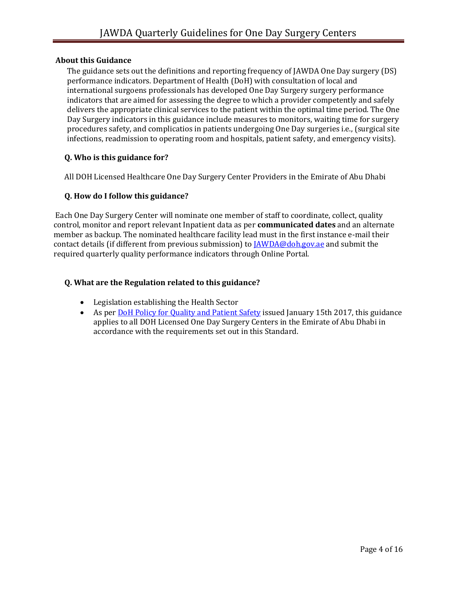### <span id="page-3-0"></span>**About this Guidance**

The guidance sets out the definitions and reporting frequency of JAWDA One Day surgery (DS) performance indicators. Department of Health (DoH) with consultation of local and international surgoens professionals has developed One Day Surgery surgery performance indicators that are aimed for assessing the degree to which a provider competently and safely delivers the appropriate clinical services to the patient within the optimal time period. The One Day Surgery indicators in this guidance include measures to monitors, waiting time for surgery procedures safety, and complicatios in patients undergoing One Day surgeries i.e., (surgical site infections, readmission to operating room and hospitals, patient safety, and emergency visits).

### **Q. Who is this guidance for?**

All DOH Licensed Healthcare One Day Surgery Center Providers in the Emirate of Abu Dhabi

### **Q. How do I follow this guidance?**

Each One Day Surgery Center will nominate one member of staff to coordinate, collect, quality control, monitor and report relevant Inpatient data as per **communicated dates** and an alternate member as backup. The nominated healthcare facility lead must in the first instance e-mail their contact details (if different from previous submission) to [JAWDA@doh.gov.ae](mailto:JAWDA@doh.gov.ae) and submit the required quarterly quality performance indicators through Online Portal.

### **Q. What are the Regulation related to this guidance?**

- Legislation establishing the Health Sector
- As per [DoH Policy for Quality and Patient Safety](https://www.haad.ae/HAAD/LinkClick.aspx?fileticket=Jrh93s-AyUA%3d&tabid=1276) issued January 15th 2017, this guidance applies to all DOH Licensed One Day Surgery Centers in the Emirate of Abu Dhabi in accordance with the requirements set out in this Standard.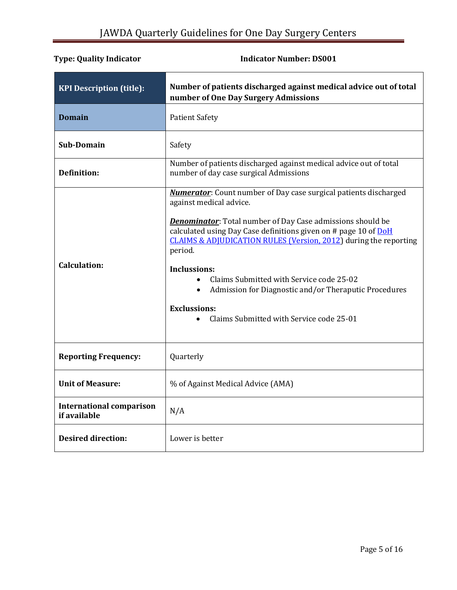<span id="page-4-0"></span>

| <b>KPI Description (title):</b>                 | Number of patients discharged against medical advice out of total<br>number of One Day Surgery Admissions                                                                                                                                                                                                                                                                                                                                                                                                                           |
|-------------------------------------------------|-------------------------------------------------------------------------------------------------------------------------------------------------------------------------------------------------------------------------------------------------------------------------------------------------------------------------------------------------------------------------------------------------------------------------------------------------------------------------------------------------------------------------------------|
| <b>Domain</b>                                   | <b>Patient Safety</b>                                                                                                                                                                                                                                                                                                                                                                                                                                                                                                               |
| Sub-Domain                                      | Safety                                                                                                                                                                                                                                                                                                                                                                                                                                                                                                                              |
| Definition:                                     | Number of patients discharged against medical advice out of total<br>number of day case surgical Admissions                                                                                                                                                                                                                                                                                                                                                                                                                         |
| <b>Calculation:</b>                             | <b>Numerator:</b> Count number of Day case surgical patients discharged<br>against medical advice.<br><b>Denominator:</b> Total number of Day Case admissions should be<br>calculated using Day Case definitions given on # page 10 of DoH<br><b>CLAIMS &amp; ADJUDICATION RULES (Version, 2012)</b> during the reporting<br>period.<br><b>Inclussions:</b><br>Claims Submitted with Service code 25-02<br>Admission for Diagnostic and/or Theraputic Procedures<br><b>Exclussions:</b><br>Claims Submitted with Service code 25-01 |
| <b>Reporting Frequency:</b>                     | Quarterly                                                                                                                                                                                                                                                                                                                                                                                                                                                                                                                           |
| <b>Unit of Measure:</b>                         | % of Against Medical Advice (AMA)                                                                                                                                                                                                                                                                                                                                                                                                                                                                                                   |
| <b>International comparison</b><br>if available | N/A                                                                                                                                                                                                                                                                                                                                                                                                                                                                                                                                 |
| <b>Desired direction:</b>                       | Lower is better                                                                                                                                                                                                                                                                                                                                                                                                                                                                                                                     |

### **Type: Quality Indicator Contracts Contracts Contracts Indicator Number: DS001**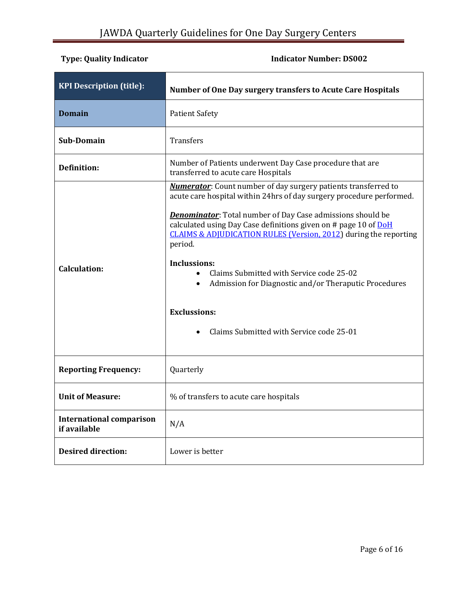# <span id="page-5-0"></span>**Type: Quality Indicator Indicator 1.1 Indicator Number: DS002**

| <b>KPI Description (title):</b>                 | Number of One Day surgery transfers to Acute Care Hospitals                                                                                                                                                                                                                                                                                                                                                                                                                                                                                                                    |
|-------------------------------------------------|--------------------------------------------------------------------------------------------------------------------------------------------------------------------------------------------------------------------------------------------------------------------------------------------------------------------------------------------------------------------------------------------------------------------------------------------------------------------------------------------------------------------------------------------------------------------------------|
| <b>Domain</b>                                   | <b>Patient Safety</b>                                                                                                                                                                                                                                                                                                                                                                                                                                                                                                                                                          |
| <b>Sub-Domain</b>                               | <b>Transfers</b>                                                                                                                                                                                                                                                                                                                                                                                                                                                                                                                                                               |
| <b>Definition:</b>                              | Number of Patients underwent Day Case procedure that are<br>transferred to acute care Hospitals                                                                                                                                                                                                                                                                                                                                                                                                                                                                                |
| <b>Calculation:</b>                             | <b>Numerator:</b> Count number of day surgery patients transferred to<br>acute care hospital within 24hrs of day surgery procedure performed.<br><b>Denominator:</b> Total number of Day Case admissions should be<br>calculated using Day Case definitions given on # page 10 of DoH<br><b>CLAIMS &amp; ADJUDICATION RULES (Version, 2012)</b> during the reporting<br>period.<br><b>Inclussions:</b><br>Claims Submitted with Service code 25-02<br>Admission for Diagnostic and/or Theraputic Procedures<br><b>Exclussions:</b><br>Claims Submitted with Service code 25-01 |
| <b>Reporting Frequency:</b>                     | Quarterly                                                                                                                                                                                                                                                                                                                                                                                                                                                                                                                                                                      |
| <b>Unit of Measure:</b>                         | % of transfers to acute care hospitals                                                                                                                                                                                                                                                                                                                                                                                                                                                                                                                                         |
| <b>International comparison</b><br>if available | N/A                                                                                                                                                                                                                                                                                                                                                                                                                                                                                                                                                                            |
| <b>Desired direction:</b>                       | Lower is better                                                                                                                                                                                                                                                                                                                                                                                                                                                                                                                                                                |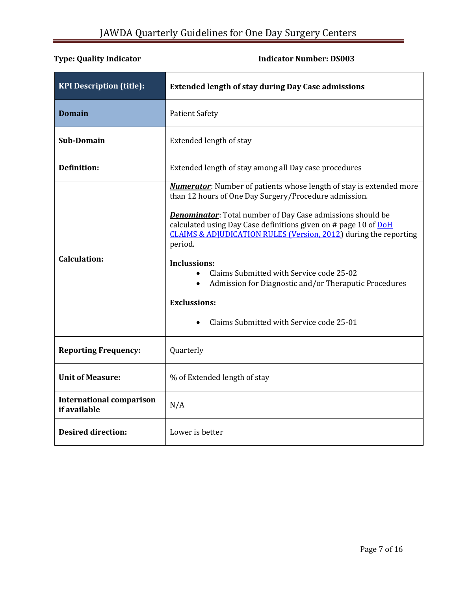<span id="page-6-0"></span>

| <b>KPI Description (title):</b>                 | <b>Extended length of stay during Day Case admissions</b>                                                                                                                                                                                                                                                                                                                                                                                                                                                                                                               |
|-------------------------------------------------|-------------------------------------------------------------------------------------------------------------------------------------------------------------------------------------------------------------------------------------------------------------------------------------------------------------------------------------------------------------------------------------------------------------------------------------------------------------------------------------------------------------------------------------------------------------------------|
| <b>Domain</b>                                   | <b>Patient Safety</b>                                                                                                                                                                                                                                                                                                                                                                                                                                                                                                                                                   |
| <b>Sub-Domain</b>                               | Extended length of stay                                                                                                                                                                                                                                                                                                                                                                                                                                                                                                                                                 |
| <b>Definition:</b>                              | Extended length of stay among all Day case procedures                                                                                                                                                                                                                                                                                                                                                                                                                                                                                                                   |
| <b>Calculation:</b>                             | <b>Numerator</b> : Number of patients whose length of stay is extended more<br>than 12 hours of One Day Surgery/Procedure admission.<br><b>Denominator:</b> Total number of Day Case admissions should be<br>calculated using Day Case definitions given on # page 10 of DoH<br>CLAIMS & ADJUDICATION RULES (Version, 2012) during the reporting<br>period.<br><b>Inclussions:</b><br>Claims Submitted with Service code 25-02<br>Admission for Diagnostic and/or Theraputic Procedures<br>$\bullet$<br><b>Exclussions:</b><br>Claims Submitted with Service code 25-01 |
| <b>Reporting Frequency:</b>                     | Quarterly                                                                                                                                                                                                                                                                                                                                                                                                                                                                                                                                                               |
| <b>Unit of Measure:</b>                         | % of Extended length of stay                                                                                                                                                                                                                                                                                                                                                                                                                                                                                                                                            |
| <b>International comparison</b><br>if available | N/A                                                                                                                                                                                                                                                                                                                                                                                                                                                                                                                                                                     |
| <b>Desired direction:</b>                       | Lower is better                                                                                                                                                                                                                                                                                                                                                                                                                                                                                                                                                         |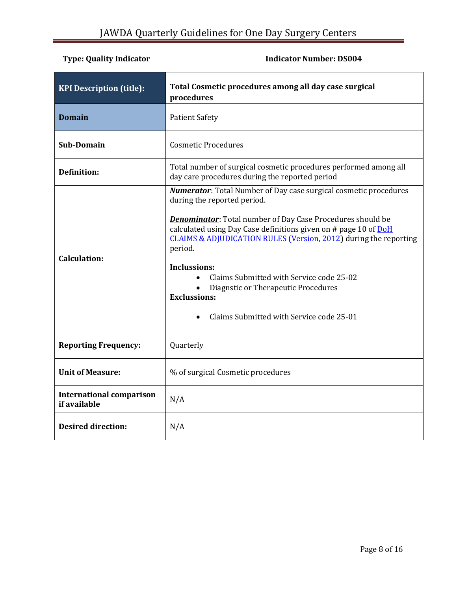# <span id="page-7-0"></span>**Type: Quality Indicator Contracts Contracts Contracts Indicator Number: DS004**

| <b>KPI Description (title):</b>                 | Total Cosmetic procedures among all day case surgical<br>procedures                                                                                                                                                                                                                                                                                                                                                                                                                                                   |
|-------------------------------------------------|-----------------------------------------------------------------------------------------------------------------------------------------------------------------------------------------------------------------------------------------------------------------------------------------------------------------------------------------------------------------------------------------------------------------------------------------------------------------------------------------------------------------------|
| <b>Domain</b>                                   | <b>Patient Safety</b>                                                                                                                                                                                                                                                                                                                                                                                                                                                                                                 |
| Sub-Domain                                      | <b>Cosmetic Procedures</b>                                                                                                                                                                                                                                                                                                                                                                                                                                                                                            |
| <b>Definition:</b>                              | Total number of surgical cosmetic procedures performed among all<br>day care procedures during the reported period                                                                                                                                                                                                                                                                                                                                                                                                    |
| <b>Calculation:</b>                             | <b>Numerator:</b> Total Number of Day case surgical cosmetic procedures<br>during the reported period.<br><b>Denominator:</b> Total number of Day Case Procedures should be<br>calculated using Day Case definitions given on # page 10 of DoH<br><b>CLAIMS &amp; ADJUDICATION RULES (Version, 2012)</b> during the reporting<br>period.<br><b>Inclussions:</b><br>Claims Submitted with Service code 25-02<br>Diagnstic or Therapeutic Procedures<br><b>Exclussions:</b><br>Claims Submitted with Service code 25-01 |
| <b>Reporting Frequency:</b>                     | Quarterly                                                                                                                                                                                                                                                                                                                                                                                                                                                                                                             |
| <b>Unit of Measure:</b>                         | % of surgical Cosmetic procedures                                                                                                                                                                                                                                                                                                                                                                                                                                                                                     |
| <b>International comparison</b><br>if available | N/A                                                                                                                                                                                                                                                                                                                                                                                                                                                                                                                   |
| <b>Desired direction:</b>                       | N/A                                                                                                                                                                                                                                                                                                                                                                                                                                                                                                                   |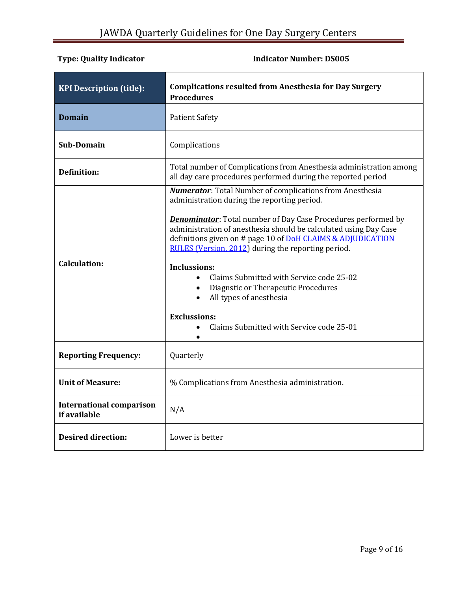<span id="page-8-0"></span>

| <b>KPI Description (title):</b>                 | <b>Complications resulted from Anesthesia for Day Surgery</b><br><b>Procedures</b>                                                                                                                                                                                                                                                                                                                                                                                                                                                                                                                                |
|-------------------------------------------------|-------------------------------------------------------------------------------------------------------------------------------------------------------------------------------------------------------------------------------------------------------------------------------------------------------------------------------------------------------------------------------------------------------------------------------------------------------------------------------------------------------------------------------------------------------------------------------------------------------------------|
| <b>Domain</b>                                   | <b>Patient Safety</b>                                                                                                                                                                                                                                                                                                                                                                                                                                                                                                                                                                                             |
| Sub-Domain                                      | Complications                                                                                                                                                                                                                                                                                                                                                                                                                                                                                                                                                                                                     |
| <b>Definition:</b>                              | Total number of Complications from Anesthesia administration among<br>all day care procedures performed during the reported period                                                                                                                                                                                                                                                                                                                                                                                                                                                                                |
| <b>Calculation:</b>                             | <b>Numerator:</b> Total Number of complications from Anesthesia<br>administration during the reporting period.<br><b>Denominator:</b> Total number of Day Case Procedures performed by<br>administration of anesthesia should be calculated using Day Case<br>definitions given on # page 10 of DoH CLAIMS & ADJUDICATION<br>RULES (Version, 2012) during the reporting period.<br><b>Inclussions:</b><br>Claims Submitted with Service code 25-02<br>Diagnstic or Therapeutic Procedures<br>$\bullet$<br>All types of anesthesia<br>$\bullet$<br><b>Exclussions:</b><br>Claims Submitted with Service code 25-01 |
| <b>Reporting Frequency:</b>                     | Quarterly                                                                                                                                                                                                                                                                                                                                                                                                                                                                                                                                                                                                         |
| <b>Unit of Measure:</b>                         | % Complications from Anesthesia administration.                                                                                                                                                                                                                                                                                                                                                                                                                                                                                                                                                                   |
| <b>International comparison</b><br>if available | N/A                                                                                                                                                                                                                                                                                                                                                                                                                                                                                                                                                                                                               |
| <b>Desired direction:</b>                       | Lower is better                                                                                                                                                                                                                                                                                                                                                                                                                                                                                                                                                                                                   |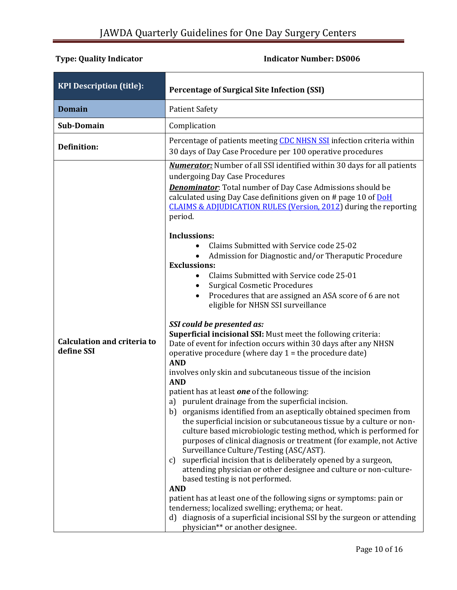<span id="page-9-0"></span>

| <b>KPI Description (title):</b>                  | <b>Percentage of Surgical Site Infection (SSI)</b>                                                                                                                                                                                                                                                                                                                                                                                                                                                                                                                                                                                                                                                                                                                                                                                                                                                                                                                                                                                                                                                                                                                                                                                                                                                                                                                                                                                                                                                                                                                                                                                                                                                                                                                                                                                                                                                                                                 |
|--------------------------------------------------|----------------------------------------------------------------------------------------------------------------------------------------------------------------------------------------------------------------------------------------------------------------------------------------------------------------------------------------------------------------------------------------------------------------------------------------------------------------------------------------------------------------------------------------------------------------------------------------------------------------------------------------------------------------------------------------------------------------------------------------------------------------------------------------------------------------------------------------------------------------------------------------------------------------------------------------------------------------------------------------------------------------------------------------------------------------------------------------------------------------------------------------------------------------------------------------------------------------------------------------------------------------------------------------------------------------------------------------------------------------------------------------------------------------------------------------------------------------------------------------------------------------------------------------------------------------------------------------------------------------------------------------------------------------------------------------------------------------------------------------------------------------------------------------------------------------------------------------------------------------------------------------------------------------------------------------------------|
| <b>Domain</b>                                    | <b>Patient Safety</b>                                                                                                                                                                                                                                                                                                                                                                                                                                                                                                                                                                                                                                                                                                                                                                                                                                                                                                                                                                                                                                                                                                                                                                                                                                                                                                                                                                                                                                                                                                                                                                                                                                                                                                                                                                                                                                                                                                                              |
| Sub-Domain                                       | Complication                                                                                                                                                                                                                                                                                                                                                                                                                                                                                                                                                                                                                                                                                                                                                                                                                                                                                                                                                                                                                                                                                                                                                                                                                                                                                                                                                                                                                                                                                                                                                                                                                                                                                                                                                                                                                                                                                                                                       |
| <b>Definition:</b>                               | Percentage of patients meeting CDC NHSN SSI infection criteria within<br>30 days of Day Case Procedure per 100 operative procedures                                                                                                                                                                                                                                                                                                                                                                                                                                                                                                                                                                                                                                                                                                                                                                                                                                                                                                                                                                                                                                                                                                                                                                                                                                                                                                                                                                                                                                                                                                                                                                                                                                                                                                                                                                                                                |
| <b>Calculation and criteria to</b><br>define SSI | <b>Numerator:</b> Number of all SSI identified within 30 days for all patients<br>undergoing Day Case Procedures<br><b>Denominator:</b> Total number of Day Case Admissions should be<br>calculated using Day Case definitions given on # page 10 of DoH<br><b>CLAIMS &amp; ADJUDICATION RULES (Version, 2012)</b> during the reporting<br>period.<br><b>Inclussions:</b><br>Claims Submitted with Service code 25-02<br>Admission for Diagnostic and/or Theraputic Procedure<br><b>Exclussions:</b><br>Claims Submitted with Service code 25-01<br>$\bullet$<br><b>Surgical Cosmetic Procedures</b><br>$\bullet$<br>Procedures that are assigned an ASA score of 6 are not<br>$\bullet$<br>eligible for NHSN SSI surveillance<br>SSI could be presented as:<br>Superficial incisional SSI: Must meet the following criteria:<br>Date of event for infection occurs within 30 days after any NHSN<br>operative procedure (where day $1 =$ the procedure date)<br><b>AND</b><br>involves only skin and subcutaneous tissue of the incision<br><b>AND</b><br>patient has at least one of the following:<br>a) purulent drainage from the superficial incision.<br>organisms identified from an aseptically obtained specimen from<br>b)<br>the superficial incision or subcutaneous tissue by a culture or non-<br>culture based microbiologic testing method, which is performed for<br>purposes of clinical diagnosis or treatment (for example, not Active<br>Surveillance Culture/Testing (ASC/AST).<br>superficial incision that is deliberately opened by a surgeon,<br>C)<br>attending physician or other designee and culture or non-culture-<br>based testing is not performed.<br><b>AND</b><br>patient has at least one of the following signs or symptoms: pain or<br>tenderness; localized swelling; erythema; or heat.<br>d) diagnosis of a superficial incisional SSI by the surgeon or attending<br>physician** or another designee. |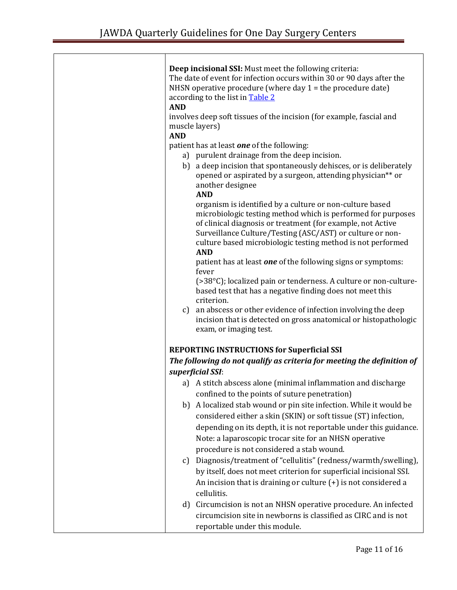| Deep incisional SSI: Must meet the following criteria:<br>The date of event for infection occurs within 30 or 90 days after the<br>NHSN operative procedure (where day $1$ = the procedure date)<br>according to the list in <b>Table 2</b><br><b>AND</b>                                                                         |
|-----------------------------------------------------------------------------------------------------------------------------------------------------------------------------------------------------------------------------------------------------------------------------------------------------------------------------------|
| involves deep soft tissues of the incision (for example, fascial and<br>muscle layers)<br><b>AND</b>                                                                                                                                                                                                                              |
| patient has at least one of the following:                                                                                                                                                                                                                                                                                        |
| a) purulent drainage from the deep incision.                                                                                                                                                                                                                                                                                      |
| b) a deep incision that spontaneously dehisces, or is deliberately<br>opened or aspirated by a surgeon, attending physician** or<br>another designee<br><b>AND</b>                                                                                                                                                                |
| organism is identified by a culture or non-culture based<br>microbiologic testing method which is performed for purposes<br>of clinical diagnosis or treatment (for example, not Active<br>Surveillance Culture/Testing (ASC/AST) or culture or non-<br>culture based microbiologic testing method is not performed<br><b>AND</b> |
| patient has at least one of the following signs or symptoms:                                                                                                                                                                                                                                                                      |
| fever                                                                                                                                                                                                                                                                                                                             |
| (>38°C); localized pain or tenderness. A culture or non-culture-<br>based test that has a negative finding does not meet this<br>criterion.                                                                                                                                                                                       |
| an abscess or other evidence of infection involving the deep<br>c)<br>incision that is detected on gross anatomical or histopathologic<br>exam, or imaging test.                                                                                                                                                                  |
| <b>REPORTING INSTRUCTIONS for Superficial SSI</b>                                                                                                                                                                                                                                                                                 |
| The following do not qualify as criteria for meeting the definition of                                                                                                                                                                                                                                                            |
| superficial SSI:                                                                                                                                                                                                                                                                                                                  |
| a) A stitch abscess alone (minimal inflammation and discharge                                                                                                                                                                                                                                                                     |
| confined to the points of suture penetration)                                                                                                                                                                                                                                                                                     |
| A localized stab wound or pin site infection. While it would be<br>b)                                                                                                                                                                                                                                                             |
| considered either a skin (SKIN) or soft tissue (ST) infection,                                                                                                                                                                                                                                                                    |
| depending on its depth, it is not reportable under this guidance.                                                                                                                                                                                                                                                                 |
| Note: a laparoscopic trocar site for an NHSN operative                                                                                                                                                                                                                                                                            |
| procedure is not considered a stab wound.                                                                                                                                                                                                                                                                                         |
| Diagnosis/treatment of "cellulitis" (redness/warmth/swelling),<br>c)                                                                                                                                                                                                                                                              |
| by itself, does not meet criterion for superficial incisional SSI.                                                                                                                                                                                                                                                                |
| An incision that is draining or culture $(+)$ is not considered a                                                                                                                                                                                                                                                                 |
| cellulitis.                                                                                                                                                                                                                                                                                                                       |
| Circumcision is not an NHSN operative procedure. An infected<br>d)                                                                                                                                                                                                                                                                |
| circumcision site in newborns is classified as CIRC and is not<br>reportable under this module.                                                                                                                                                                                                                                   |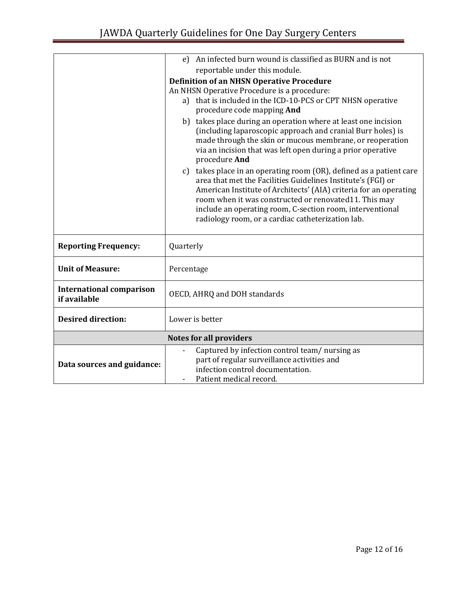|                                 | e) An infected burn wound is classified as BURN and is not                                                                          |
|---------------------------------|-------------------------------------------------------------------------------------------------------------------------------------|
|                                 | reportable under this module.                                                                                                       |
|                                 |                                                                                                                                     |
|                                 | <b>Definition of an NHSN Operative Procedure</b>                                                                                    |
|                                 | An NHSN Operative Procedure is a procedure:<br>a) that is included in the ICD-10-PCS or CPT NHSN operative                          |
|                                 | procedure code mapping And                                                                                                          |
|                                 | b) takes place during an operation where at least one incision                                                                      |
|                                 | (including laparoscopic approach and cranial Burr holes) is                                                                         |
|                                 | made through the skin or mucous membrane, or reoperation                                                                            |
|                                 | via an incision that was left open during a prior operative                                                                         |
|                                 | procedure And                                                                                                                       |
|                                 | c) takes place in an operating room (OR), defined as a patient care<br>area that met the Facilities Guidelines Institute's (FGI) or |
|                                 | American Institute of Architects' (AIA) criteria for an operating                                                                   |
|                                 | room when it was constructed or renovated11. This may                                                                               |
|                                 | include an operating room, C-section room, interventional                                                                           |
|                                 | radiology room, or a cardiac catheterization lab.                                                                                   |
|                                 |                                                                                                                                     |
| <b>Reporting Frequency:</b>     | Quarterly                                                                                                                           |
|                                 |                                                                                                                                     |
| <b>Unit of Measure:</b>         | Percentage                                                                                                                          |
| <b>International comparison</b> |                                                                                                                                     |
| if available                    | OECD, AHRQ and DOH standards                                                                                                        |
| <b>Desired direction:</b>       | Lower is better                                                                                                                     |
|                                 |                                                                                                                                     |
|                                 | <b>Notes for all providers</b>                                                                                                      |
|                                 | Captured by infection control team/nursing as                                                                                       |
| Data sources and guidance:      | part of regular surveillance activities and                                                                                         |
|                                 | infection control documentation.                                                                                                    |
|                                 | Patient medical record.                                                                                                             |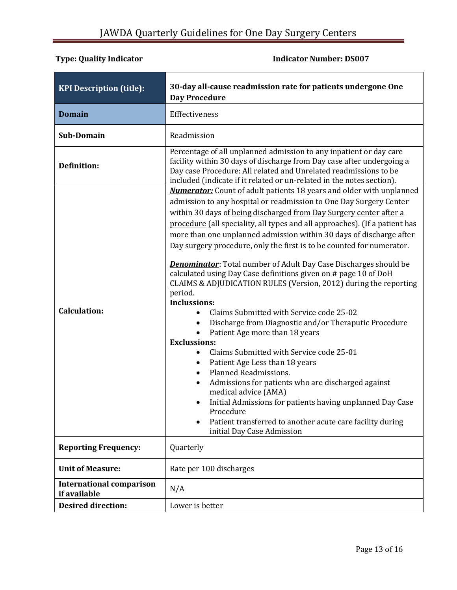# **Type: Quality Indicator Indicator 1.1 All 1.1 All 1.1 All 1.1 All 1.1 All 1.1 All 1.1 All 1.1 All 1.1 All 1.1 All 1.1 All 1.1 All 1.1 All 1.1 All 1.1 All 1.1 All 1.1 All 1.1 All 1.1 All 1.1 All 1.1 All 1.1 All 1.1 All**

<span id="page-12-0"></span>

| <b>KPI Description (title):</b>                 | 30-day all-cause readmission rate for patients undergone One<br><b>Day Procedure</b>                                                                                                                                                                                                                                                                                                                                                                                                                                                                                                                                                                                                                                                                                                                                                                                                                                                                                                                                                                                                                                                                                                                                                                                                    |
|-------------------------------------------------|-----------------------------------------------------------------------------------------------------------------------------------------------------------------------------------------------------------------------------------------------------------------------------------------------------------------------------------------------------------------------------------------------------------------------------------------------------------------------------------------------------------------------------------------------------------------------------------------------------------------------------------------------------------------------------------------------------------------------------------------------------------------------------------------------------------------------------------------------------------------------------------------------------------------------------------------------------------------------------------------------------------------------------------------------------------------------------------------------------------------------------------------------------------------------------------------------------------------------------------------------------------------------------------------|
| <b>Domain</b>                                   | Efffectiveness                                                                                                                                                                                                                                                                                                                                                                                                                                                                                                                                                                                                                                                                                                                                                                                                                                                                                                                                                                                                                                                                                                                                                                                                                                                                          |
| Sub-Domain                                      | Readmission                                                                                                                                                                                                                                                                                                                                                                                                                                                                                                                                                                                                                                                                                                                                                                                                                                                                                                                                                                                                                                                                                                                                                                                                                                                                             |
| <b>Definition:</b>                              | Percentage of all unplanned admission to any inpatient or day care<br>facility within 30 days of discharge from Day case after undergoing a<br>Day case Procedure: All related and Unrelated readmissions to be<br>included (indicate if it related or un-related in the notes section).                                                                                                                                                                                                                                                                                                                                                                                                                                                                                                                                                                                                                                                                                                                                                                                                                                                                                                                                                                                                |
| <b>Calculation:</b>                             | <b>Numerator:</b> Count of adult patients 18 years and older with unplanned<br>admission to any hospital or readmission to One Day Surgery Center<br>within 30 days of being discharged from Day Surgery center after a<br>procedure (all speciality, all types and all approaches). (If a patient has<br>more than one unplanned admission within 30 days of discharge after<br>Day surgery procedure, only the first is to be counted for numerator.<br><b>Denominator</b> : Total number of Adult Day Case Discharges should be<br>calculated using Day Case definitions given on # page 10 of DoH<br>CLAIMS & ADJUDICATION RULES (Version, 2012) during the reporting<br>period.<br><b>Inclussions:</b><br>Claims Submitted with Service code 25-02<br>Discharge from Diagnostic and/or Theraputic Procedure<br>$\bullet$<br>Patient Age more than 18 years<br><b>Exclussions:</b><br>Claims Submitted with Service code 25-01<br>$\bullet$<br>Patient Age Less than 18 years<br>$\bullet$<br>Planned Readmissions.<br>$\bullet$<br>Admissions for patients who are discharged against<br>medical advice (AMA)<br>Initial Admissions for patients having unplanned Day Case<br>Procedure<br>Patient transferred to another acute care facility during<br>initial Day Case Admission |
| <b>Reporting Frequency:</b>                     | Quarterly                                                                                                                                                                                                                                                                                                                                                                                                                                                                                                                                                                                                                                                                                                                                                                                                                                                                                                                                                                                                                                                                                                                                                                                                                                                                               |
| <b>Unit of Measure:</b>                         | Rate per 100 discharges                                                                                                                                                                                                                                                                                                                                                                                                                                                                                                                                                                                                                                                                                                                                                                                                                                                                                                                                                                                                                                                                                                                                                                                                                                                                 |
| <b>International comparison</b><br>if available | N/A                                                                                                                                                                                                                                                                                                                                                                                                                                                                                                                                                                                                                                                                                                                                                                                                                                                                                                                                                                                                                                                                                                                                                                                                                                                                                     |
| <b>Desired direction:</b>                       | Lower is better                                                                                                                                                                                                                                                                                                                                                                                                                                                                                                                                                                                                                                                                                                                                                                                                                                                                                                                                                                                                                                                                                                                                                                                                                                                                         |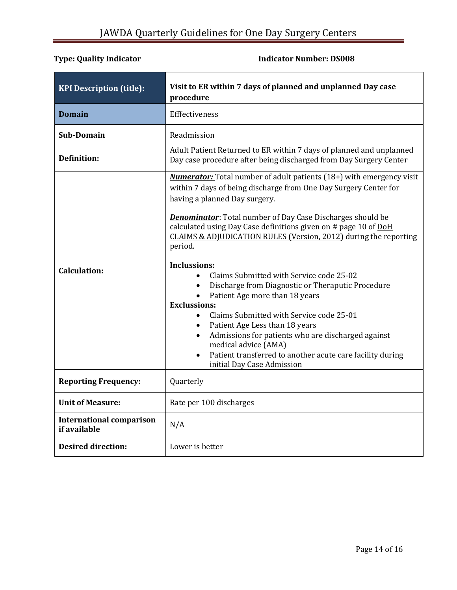<span id="page-13-0"></span>

| <b>KPI Description (title):</b>                 | Visit to ER within 7 days of planned and unplanned Day case<br>procedure                                                                                                                                                                                                                                                                                                                                                                                                                                                                                                                                                                                                                                                                                                                                                                        |
|-------------------------------------------------|-------------------------------------------------------------------------------------------------------------------------------------------------------------------------------------------------------------------------------------------------------------------------------------------------------------------------------------------------------------------------------------------------------------------------------------------------------------------------------------------------------------------------------------------------------------------------------------------------------------------------------------------------------------------------------------------------------------------------------------------------------------------------------------------------------------------------------------------------|
| <b>Domain</b>                                   | Efffectiveness                                                                                                                                                                                                                                                                                                                                                                                                                                                                                                                                                                                                                                                                                                                                                                                                                                  |
| <b>Sub-Domain</b>                               | Readmission                                                                                                                                                                                                                                                                                                                                                                                                                                                                                                                                                                                                                                                                                                                                                                                                                                     |
| <b>Definition:</b>                              | Adult Patient Returned to ER within 7 days of planned and unplanned<br>Day case procedure after being discharged from Day Surgery Center                                                                                                                                                                                                                                                                                                                                                                                                                                                                                                                                                                                                                                                                                                        |
| <b>Calculation:</b>                             | <b>Numerator:</b> Total number of adult patients (18+) with emergency visit<br>within 7 days of being discharge from One Day Surgery Center for<br>having a planned Day surgery.<br><b>Denominator:</b> Total number of Day Case Discharges should be<br>calculated using Day Case definitions given on # page 10 of DoH<br>CLAIMS & ADJUDICATION RULES (Version, 2012) during the reporting<br>period.<br><b>Inclussions:</b><br>Claims Submitted with Service code 25-02<br>Discharge from Diagnostic or Theraputic Procedure<br>Patient Age more than 18 years<br><b>Exclussions:</b><br>Claims Submitted with Service code 25-01<br>Patient Age Less than 18 years<br>Admissions for patients who are discharged against<br>medical advice (AMA)<br>Patient transferred to another acute care facility during<br>initial Day Case Admission |
| <b>Reporting Frequency:</b>                     | Quarterly                                                                                                                                                                                                                                                                                                                                                                                                                                                                                                                                                                                                                                                                                                                                                                                                                                       |
| <b>Unit of Measure:</b>                         | Rate per 100 discharges                                                                                                                                                                                                                                                                                                                                                                                                                                                                                                                                                                                                                                                                                                                                                                                                                         |
| <b>International comparison</b><br>if available | N/A                                                                                                                                                                                                                                                                                                                                                                                                                                                                                                                                                                                                                                                                                                                                                                                                                                             |
| <b>Desired direction:</b>                       | Lower is better                                                                                                                                                                                                                                                                                                                                                                                                                                                                                                                                                                                                                                                                                                                                                                                                                                 |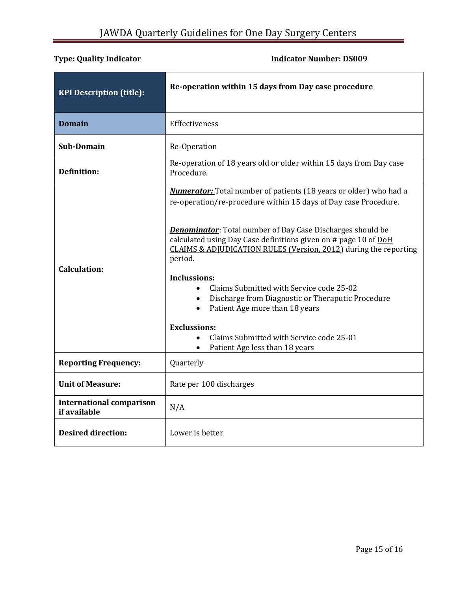<span id="page-14-0"></span>

| <b>KPI Description (title):</b>                 | Re-operation within 15 days from Day case procedure                                                                                                                                                                                                                                                                                                                                                                                                                                                                                                                                                                               |
|-------------------------------------------------|-----------------------------------------------------------------------------------------------------------------------------------------------------------------------------------------------------------------------------------------------------------------------------------------------------------------------------------------------------------------------------------------------------------------------------------------------------------------------------------------------------------------------------------------------------------------------------------------------------------------------------------|
| <b>Domain</b>                                   | Efffectiveness                                                                                                                                                                                                                                                                                                                                                                                                                                                                                                                                                                                                                    |
| <b>Sub-Domain</b>                               | Re-Operation                                                                                                                                                                                                                                                                                                                                                                                                                                                                                                                                                                                                                      |
| <b>Definition:</b>                              | Re-operation of 18 years old or older within 15 days from Day case<br>Procedure.                                                                                                                                                                                                                                                                                                                                                                                                                                                                                                                                                  |
| <b>Calculation:</b>                             | <b>Numerator:</b> Total number of patients (18 years or older) who had a<br>re-operation/re-procedure within 15 days of Day case Procedure.<br><b>Denominator:</b> Total number of Day Case Discharges should be<br>calculated using Day Case definitions given on # page 10 of DoH<br>CLAIMS & ADJUDICATION RULES (Version, 2012) during the reporting<br>period.<br><b>Inclussions:</b><br>Claims Submitted with Service code 25-02<br>Discharge from Diagnostic or Theraputic Procedure<br>Patient Age more than 18 years<br><b>Exclussions:</b><br>Claims Submitted with Service code 25-01<br>Patient Age less than 18 years |
| <b>Reporting Frequency:</b>                     | Quarterly                                                                                                                                                                                                                                                                                                                                                                                                                                                                                                                                                                                                                         |
| <b>Unit of Measure:</b>                         | Rate per 100 discharges                                                                                                                                                                                                                                                                                                                                                                                                                                                                                                                                                                                                           |
| <b>International comparison</b><br>if available | N/A                                                                                                                                                                                                                                                                                                                                                                                                                                                                                                                                                                                                                               |
| <b>Desired direction:</b>                       | Lower is better                                                                                                                                                                                                                                                                                                                                                                                                                                                                                                                                                                                                                   |